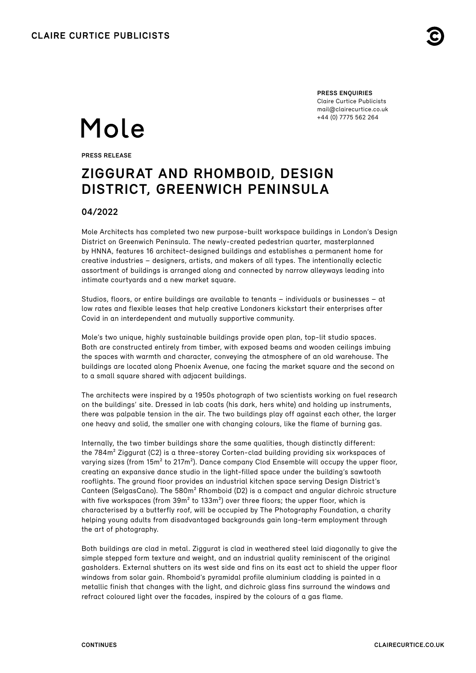**PRESS ENQUIRIES** Claire Curtice Publicists [mail@clairecurtice.co.uk](mailto:mail@clairecurtice.co.uk?subject=Mole Architects - Design District) +44 (0) 7775 562 264

# Mole

**PRESS RELEASE**

# **ZIGGURAT AND RHOMBOID, DESIGN DISTRICT, GREENWICH PENINSULA**

# **04/2022**

Mole Architects has completed two new purpose-built workspace buildings in London's Design District on Greenwich Peninsula. The newly-created pedestrian quarter, masterplanned by HNNA, features 16 architect-designed buildings and establishes a permanent home for creative industries – designers, artists, and makers of all types. The intentionally eclectic assortment of buildings is arranged along and connected by narrow alleyways leading into intimate courtvards and a new market square.

Studios, floors, or entire buildings are available to tenants – individuals or businesses – at low rates and flexible leases that help creative Londoners kickstart their enterprises after Covid in an interdependent and mutually supportive community.

Mole's two unique, highly sustainable buildings provide open plan, top-lit studio spaces. Both are constructed entirely from timber, with exposed beams and wooden ceilings imbuing the spaces with warmth and character, conveying the atmosphere of an old warehouse. The buildings are located along Phoenix Avenue, one facing the market square and the second on to a small square shared with adjacent buildings.

The architects were inspired by a 1950s photograph of two scientists working on fuel research on the buildings' site. Dressed in lab coats (his dark, hers white) and holding up instruments, there was palpable tension in the air. The two buildings play off against each other, the larger one heavy and solid, the smaller one with changing colours, like the flame of burning gas.

Internally, the two timber buildings share the same qualities, though distinctly different: the 784m² Ziggurat (C2) is a three-storey Corten-clad building providing six workspaces of varying sizes (from  $15m^2$  to  $217m^2$ ). Dance company Clod Ensemble will occupy the upper floor, creating an expansive dance studio in the light-filled space under the building's sawtooth rooflights. The ground floor provides an industrial kitchen space serving Design District's Canteen (SelgasCano). The 580m² Rhomboid (D2) is a compact and angular dichroic structure with five workspaces (from 39m<sup>2</sup> to 133m<sup>2</sup>) over three floors; the upper floor, which is characterised by a butterfly roof, will be occupied by The Photography Foundation, a charity helping young adults from disadvantaged backgrounds gain long-term employment through the art of photography.

Both buildings are clad in metal. Ziggurat is clad in weathered steel laid diagonally to give the simple stepped form texture and weight, and an industrial quality reminiscent of the original gasholders. External shutters on its west side and fins on its east act to shield the upper floor windows from solar gain. Rhomboid's pyramidal profile aluminium cladding is painted in a metallic finish that changes with the light, and dichroic glass fins surround the windows and refract coloured light over the facades, inspired by the colours of a gas flame.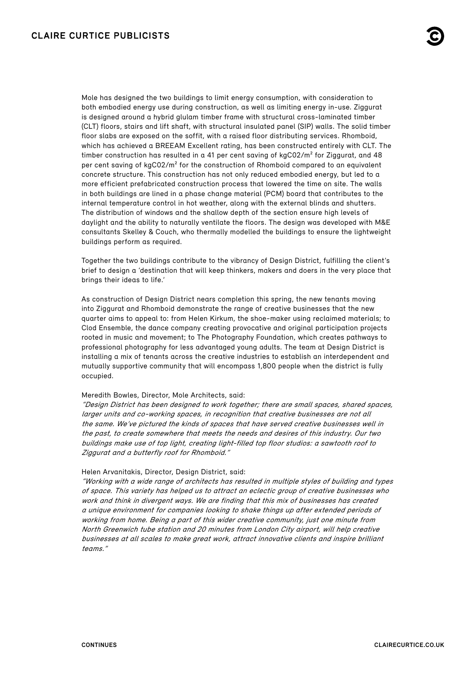Mole has designed the two buildings to limit energy consumption, with consideration to both embodied energy use during construction, as well as limiting energy in-use. Ziggurat is designed around a hybrid glulam timber frame with structural cross-laminated timber (CLT) floors, stairs and lift shaft, with structural insulated panel (SIP) walls. The solid timber floor slabs are exposed on the soffit, with a raised floor distributing services. Rhomboid, which has achieved a BREEAM Excellent rating, has been constructed entirely with CLT. The timber construction has resulted in a 41 per cent saving of  $kgCO2/m<sup>2</sup>$  for Ziggurat, and 48 per cent saving of kgC02/m² for the construction of Rhomboid compared to an equivalent concrete structure. This construction has not only reduced embodied energy, but led to a more efficient prefabricated construction process that lowered the time on site. The walls in both buildings are lined in a phase change material (PCM) board that contributes to the internal temperature control in hot weather, along with the external blinds and shutters. The distribution of windows and the shallow depth of the section ensure high levels of daylight and the ability to naturally ventilate the floors. The design was developed with M&E consultants Skelley & Couch, who thermally modelled the buildings to ensure the lightweight buildings perform as required.

Together the two buildings contribute to the vibrancy of Design District, fulfilling the client's brief to design a 'destination that will keep thinkers, makers and doers in the very place that brings their ideas to life.'

As construction of Design District nears completion this spring, the new tenants moving into Ziggurat and Rhomboid demonstrate the range of creative businesses that the new quarter aims to appeal to: from Helen Kirkum, the shoe-maker using reclaimed materials; to Clod Ensemble, the dance company creating provocative and original participation projects rooted in music and movement; to The Photography Foundation, which creates pathways to professional photography for less advantaged young adults. The team at Design District is installing a mix of tenants across the creative industries to establish an interdependent and mutually supportive community that will encompass 1,800 people when the district is fully occupied.

### Meredith Bowles, Director, Mole Architects, said:

"Design District has been designed to work together; there are small spaces, shared spaces, larger units and co-working spaces, in recognition that creative businesses are not all the same. We've pictured the kinds of spaces that have served creative businesses well in the past, to create somewhere that meets the needs and desires of this industry. Our two buildings make use of top light, creating light-filled top floor studios: a sawtooth roof to Ziggurat and a butterfly roof for Rhomboid."

#### Helen Arvanitakis, Director, Design District, said:

"Working with a wide range of architects has resulted in multiple styles of building and types of space. This variety has helped us to attract an eclectic group of creative businesses who work and think in divergent ways. We are finding that this mix of businesses has created a unique environment for companies looking to shake things up after extended periods of working from home. Being a part of this wider creative community, just one minute from North Greenwich tube station and 20 minutes from London City airport, will help creative businesses at all scales to make great work, attract innovative clients and inspire brilliant teams."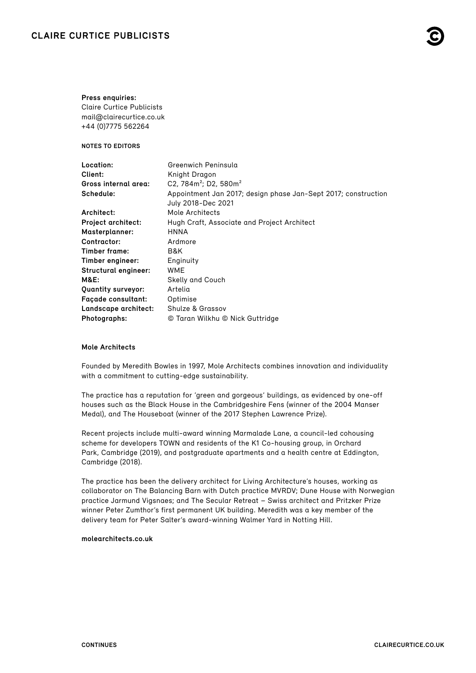# **CLAIRE CURTICE PUBLICISTS**

#### **Press enquiries:**

Claire Curtice Publicists [mail@clairecurtice.co.uk](mailto:mail@clairecurtice.co.uk?subject=Mole Architects - Design District) +44 (0)7775 562264

**NOTES TO EDITORS**

| Location:                   | Greenwich Peninsula                                                                  |
|-----------------------------|--------------------------------------------------------------------------------------|
| Client:                     | Knight Dragon                                                                        |
| Gross internal area:        | C2, 784 $m^2$ ; D2, 580 $m^2$                                                        |
| Schedule:                   | Appointment Jan 2017; design phase Jan-Sept 2017; construction<br>July 2018-Dec 2021 |
| Architect:                  | Mole Architects                                                                      |
| <b>Project architect:</b>   | Hugh Craft, Associate and Project Architect                                          |
| <b>Masterplanner:</b>       | <b>HNNA</b>                                                                          |
| Contractor:                 | Ardmore                                                                              |
| Timber frame:               | B&K                                                                                  |
| Timber engineer:            | Enginuity                                                                            |
| <b>Structural engineer:</b> | <b>WME</b>                                                                           |
| <b>M&amp;E:</b>             | <b>Skelly and Couch</b>                                                              |
| <b>Quantity surveyor:</b>   | Artelia                                                                              |
| <b>Façade consultant:</b>   | Optimise                                                                             |
| Landscape architect:        | <b>Shulze &amp; Grassov</b>                                                          |
| Photographs:                | © Taran Wilkhu © Nick Guttridge                                                      |

# **Mole Architects**

Founded by Meredith Bowles in 1997, Mole Architects combines innovation and individuality with a commitment to cutting-edge sustainability.

The practice has a reputation for 'green and gorgeous' buildings, as evidenced by one-off houses such as the Black House in the Cambridgeshire Fens (winner of the 2004 Manser Medal), and The Houseboat (winner of the 2017 Stephen Lawrence Prize).

Recent projects include multi-award winning Marmalade Lane, a council-led cohousing scheme for developers TOWN and residents of the K1 Co-housing group, in Orchard Park, Cambridge (2019), and postgraduate apartments and a health centre at Eddington, Cambridge (2018).

The practice has been the delivery architect for Living Architecture's houses, working as collaborator on The Balancing Barn with Dutch practice MVRDV; Dune House with Norwegian practice Jarmund Vigsnaes; and The Secular Retreat – Swiss architect and Pritzker Prize winner Peter Zumthor's first permanent UK building. Meredith was a key member of the delivery team for Peter Salter's award-winning Walmer Yard in Notting Hill.

# **[molearchitects.co.uk](https://www.molearchitects.co.uk)**